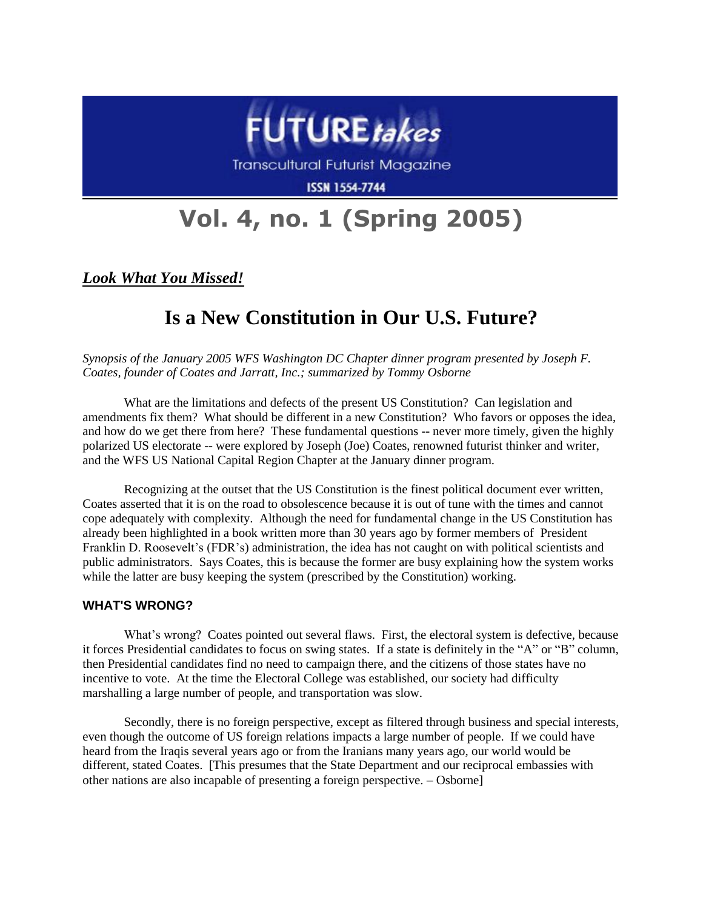

**Transcultural Futurist Magazine** 

**ISSN 1554-7744** 

# **Vol. 4, no. 1 (Spring 2005)**

*Look What You Missed!*

# **Is a New Constitution in Our U.S. Future?**

*Synopsis of the January 2005 WFS Washington DC Chapter dinner program presented by Joseph F. Coates, founder of Coates and Jarratt, Inc.; summarized by Tommy Osborne*

What are the limitations and defects of the present US Constitution? Can legislation and amendments fix them? What should be different in a new Constitution? Who favors or opposes the idea, and how do we get there from here? These fundamental questions -- never more timely, given the highly polarized US electorate -- were explored by Joseph (Joe) Coates, renowned futurist thinker and writer, and the WFS US National Capital Region Chapter at the January dinner program.

Recognizing at the outset that the US Constitution is the finest political document ever written, Coates asserted that it is on the road to obsolescence because it is out of tune with the times and cannot cope adequately with complexity. Although the need for fundamental change in the US Constitution has already been highlighted in a book written more than 30 years ago by former members of President Franklin D. Roosevelt's (FDR's) administration, the idea has not caught on with political scientists and public administrators. Says Coates, this is because the former are busy explaining how the system works while the latter are busy keeping the system (prescribed by the Constitution) working.

# **WHAT'S WRONG?**

What's wrong? Coates pointed out several flaws. First, the electoral system is defective, because it forces Presidential candidates to focus on swing states. If a state is definitely in the "A" or "B" column, then Presidential candidates find no need to campaign there, and the citizens of those states have no incentive to vote. At the time the Electoral College was established, our society had difficulty marshalling a large number of people, and transportation was slow.

Secondly, there is no foreign perspective, except as filtered through business and special interests, even though the outcome of US foreign relations impacts a large number of people. If we could have heard from the Iraqis several years ago or from the Iranians many years ago, our world would be different, stated Coates. [This presumes that the State Department and our reciprocal embassies with other nations are also incapable of presenting a foreign perspective. – Osborne]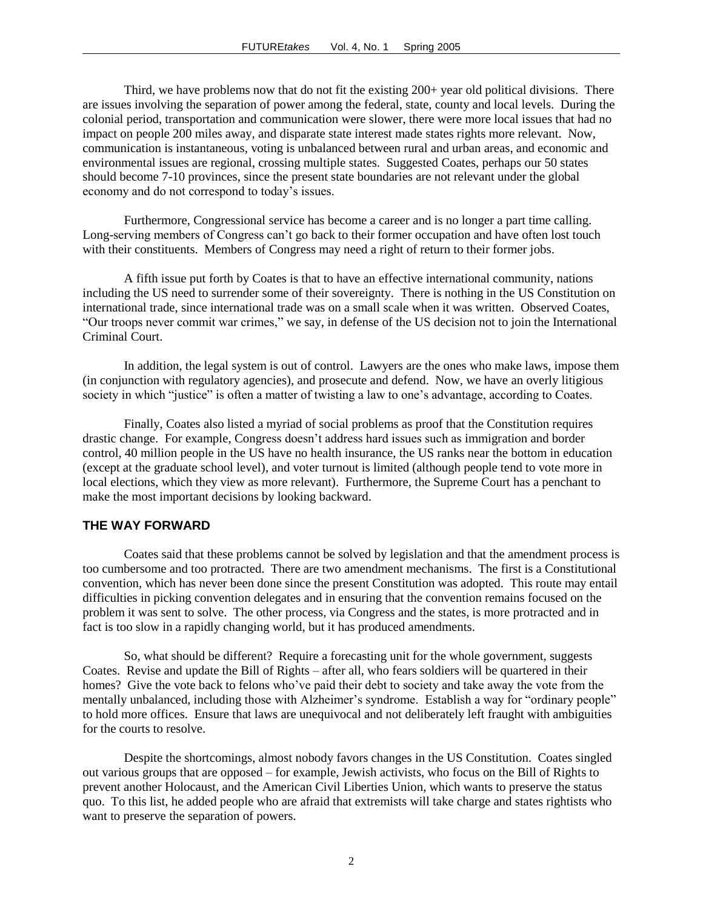Third, we have problems now that do not fit the existing  $200+$  year old political divisions. There are issues involving the separation of power among the federal, state, county and local levels. During the colonial period, transportation and communication were slower, there were more local issues that had no impact on people 200 miles away, and disparate state interest made states rights more relevant. Now, communication is instantaneous, voting is unbalanced between rural and urban areas, and economic and environmental issues are regional, crossing multiple states. Suggested Coates, perhaps our 50 states should become 7-10 provinces, since the present state boundaries are not relevant under the global economy and do not correspond to today's issues.

Furthermore, Congressional service has become a career and is no longer a part time calling. Long-serving members of Congress can't go back to their former occupation and have often lost touch with their constituents. Members of Congress may need a right of return to their former jobs.

A fifth issue put forth by Coates is that to have an effective international community, nations including the US need to surrender some of their sovereignty. There is nothing in the US Constitution on international trade, since international trade was on a small scale when it was written. Observed Coates, "Our troops never commit war crimes," we say, in defense of the US decision not to join the International Criminal Court.

In addition, the legal system is out of control. Lawyers are the ones who make laws, impose them (in conjunction with regulatory agencies), and prosecute and defend. Now, we have an overly litigious society in which "justice" is often a matter of twisting a law to one's advantage, according to Coates.

Finally, Coates also listed a myriad of social problems as proof that the Constitution requires drastic change. For example, Congress doesn't address hard issues such as immigration and border control, 40 million people in the US have no health insurance, the US ranks near the bottom in education (except at the graduate school level), and voter turnout is limited (although people tend to vote more in local elections, which they view as more relevant). Furthermore, the Supreme Court has a penchant to make the most important decisions by looking backward.

#### **THE WAY FORWARD**

Coates said that these problems cannot be solved by legislation and that the amendment process is too cumbersome and too protracted. There are two amendment mechanisms. The first is a Constitutional convention, which has never been done since the present Constitution was adopted. This route may entail difficulties in picking convention delegates and in ensuring that the convention remains focused on the problem it was sent to solve. The other process, via Congress and the states, is more protracted and in fact is too slow in a rapidly changing world, but it has produced amendments.

So, what should be different? Require a forecasting unit for the whole government, suggests Coates. Revise and update the Bill of Rights – after all, who fears soldiers will be quartered in their homes? Give the vote back to felons who've paid their debt to society and take away the vote from the mentally unbalanced, including those with Alzheimer's syndrome. Establish a way for "ordinary people" to hold more offices. Ensure that laws are unequivocal and not deliberately left fraught with ambiguities for the courts to resolve.

Despite the shortcomings, almost nobody favors changes in the US Constitution. Coates singled out various groups that are opposed – for example, Jewish activists, who focus on the Bill of Rights to prevent another Holocaust, and the American Civil Liberties Union, which wants to preserve the status quo. To this list, he added people who are afraid that extremists will take charge and states rightists who want to preserve the separation of powers.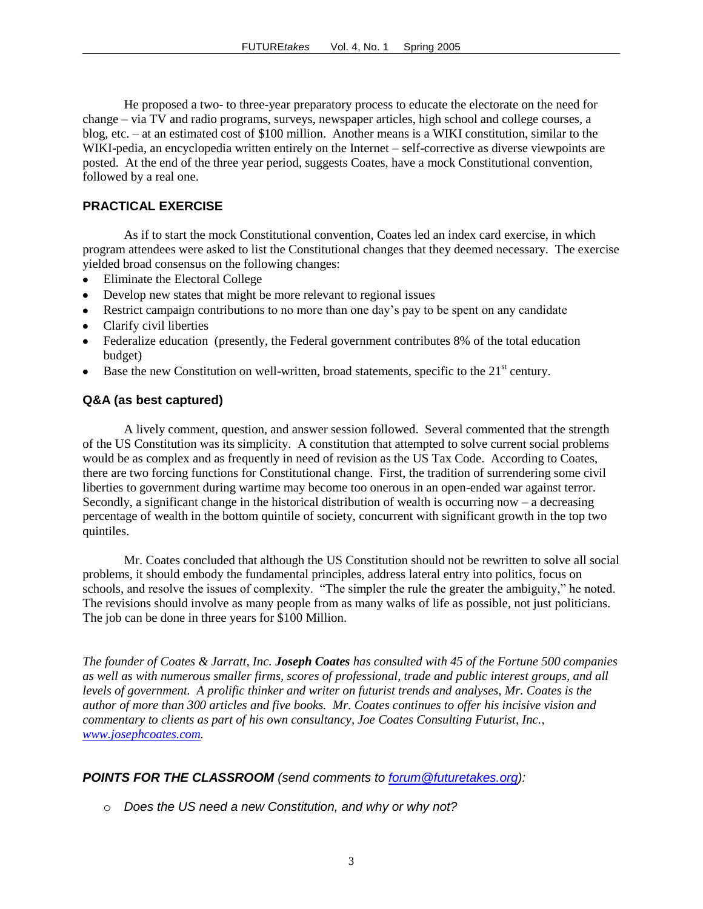He proposed a two- to three-year preparatory process to educate the electorate on the need for change – via TV and radio programs, surveys, newspaper articles, high school and college courses, a blog, etc. – at an estimated cost of \$100 million. Another means is a WIKI constitution, similar to the WIKI-pedia, an encyclopedia written entirely on the Internet – self-corrective as diverse viewpoints are posted. At the end of the three year period, suggests Coates, have a mock Constitutional convention, followed by a real one.

# **PRACTICAL EXERCISE**

As if to start the mock Constitutional convention, Coates led an index card exercise, in which program attendees were asked to list the Constitutional changes that they deemed necessary. The exercise yielded broad consensus on the following changes:

- Eliminate the Electoral College
- Develop new states that might be more relevant to regional issues
- Restrict campaign contributions to no more than one day's pay to be spent on any candidate  $\bullet$
- Clarify civil liberties
- Federalize education (presently, the Federal government contributes 8% of the total education  $\bullet$ budget)
- Base the new Constitution on well-written, broad statements, specific to the  $21<sup>st</sup>$  century.

# **Q&A (as best captured)**

A lively comment, question, and answer session followed. Several commented that the strength of the US Constitution was its simplicity. A constitution that attempted to solve current social problems would be as complex and as frequently in need of revision as the US Tax Code. According to Coates, there are two forcing functions for Constitutional change. First, the tradition of surrendering some civil liberties to government during wartime may become too onerous in an open-ended war against terror. Secondly, a significant change in the historical distribution of wealth is occurring now – a decreasing percentage of wealth in the bottom quintile of society, concurrent with significant growth in the top two quintiles.

Mr. Coates concluded that although the US Constitution should not be rewritten to solve all social problems, it should embody the fundamental principles, address lateral entry into politics, focus on schools, and resolve the issues of complexity. "The simpler the rule the greater the ambiguity," he noted. The revisions should involve as many people from as many walks of life as possible, not just politicians. The job can be done in three years for \$100 Million.

*The founder of Coates & Jarratt, Inc. Joseph Coates has consulted with 45 of the Fortune 500 companies as well as with numerous smaller firms, scores of professional, trade and public interest groups, and all levels of government. A prolific thinker and writer on futurist trends and analyses, Mr. Coates is the author of more than 300 articles and five books. Mr. Coates continues to offer his incisive vision and commentary to clients as part of his own consultancy, Joe Coates Consulting Futurist, Inc., [www.josephcoates.com.](http://www.josephcoates.com/)*

# *POINTS FOR THE CLASSROOM (send comments to [forum@futuretakes.org\)](mailto:forum@futuretakes.org):*

o *Does the US need a new Constitution, and why or why not?*